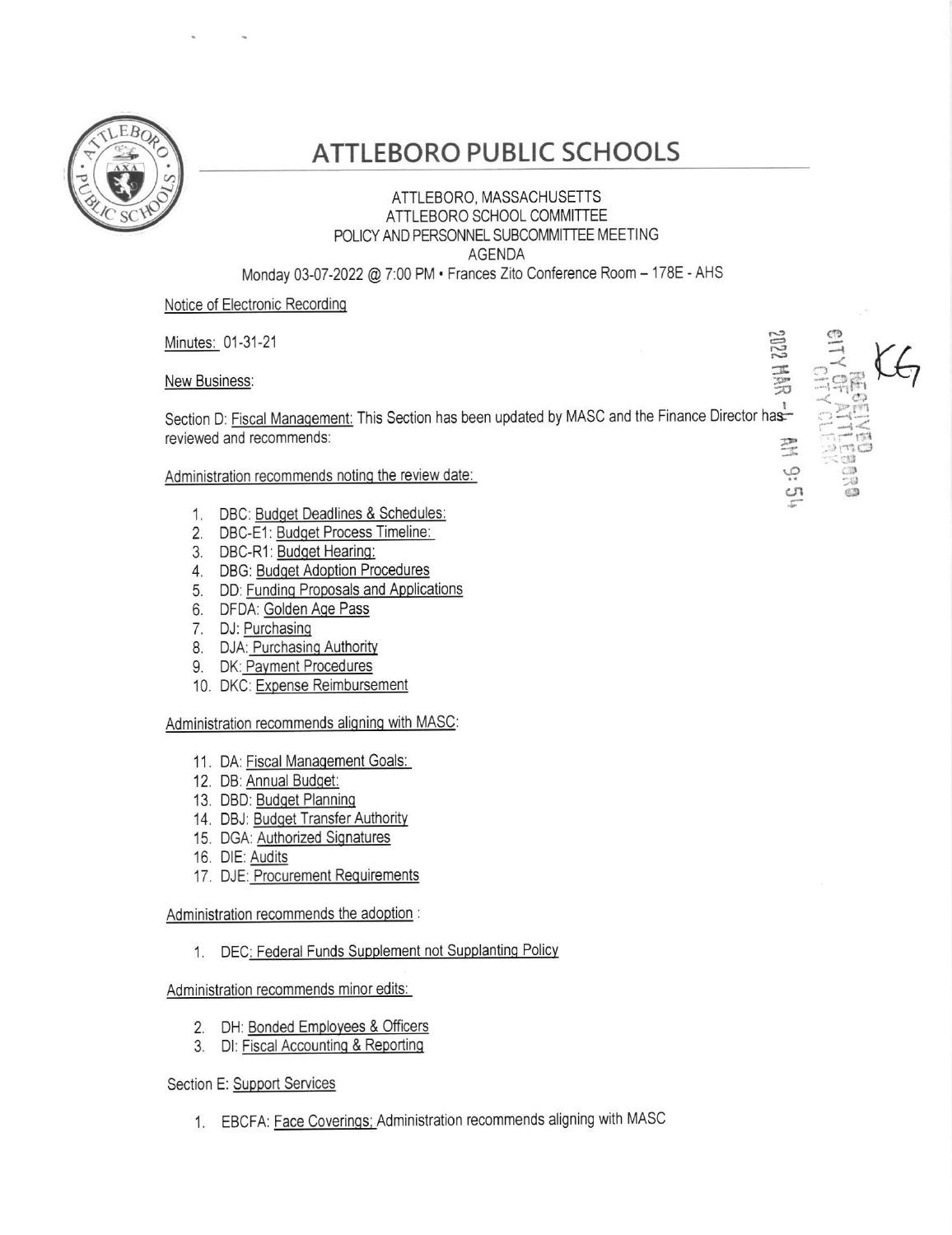

## **ATTLEBORO PUBLIC SCHOOLS**

## ATTLEBORO, MASSACHUSETTS ATTLEBORO SCHOOL COMMITTEE POLICY AND PERSONNEL SUBCOMMITTEE MEETING **AGENDA**

Monday 03-07-2022 @ 7:00 PM · Frances Zito Conference Room - 178E - AHS

## Notice of Electronic Recording

Minutes: 01-31-21

New Business:

Section D: Fiscal Management: This Section has been updated by MASC and the Finance Director has reviewed and recommends:

Administration recommends noting the review date:

- 1. DBC: Budget Deadlines & Schedules:
- 2. DBC-E1: Budget Process Timeline:
- 3. DBC-R1: Budget Hearing:
- 4. DBG: Budget Adoption Procedures
- 5. DD: Funding Proposals and Applications
- 6. DFDA: Golden Age Pass
- 7. DJ: Purchasing
- 8. DJA: Purchasing Authority
- 9. DK: Payment Procedures
- 10. DKC: Expense Reimbursement

Administration recommends aligning with MASC:

- 11. DA: Fiscal Management Goals:
- 12. DB: Annual Budget:
- 13. DBD: Budget Planning
- 14. DBJ: Budget Transfer Authority
- 15. DGA: Authorized Signatures
- 16. DIE: Audits
- 17. DJE: Procurement Requirements

Administration recommends the adoption:

1. DEC: Federal Funds Supplement not Supplanting Policy

Administration recommends minor edits:

- 2. DH: Bonded Employees & Officers
- 3. DI: Fiscal Accounting & Reporting

Section E: Support Services

1. EBCFA: Face Coverings; Administration recommends aligning with MASC

|          | t                    |    |
|----------|----------------------|----|
| ļ<br>220 |                      |    |
| J.<br>끚  | Ö<br>aqis<br>ey arts | ï. |
| ias      |                      |    |
|          | 不如                   |    |
|          | OB.<br>つゆ            |    |
| F        | 63                   |    |